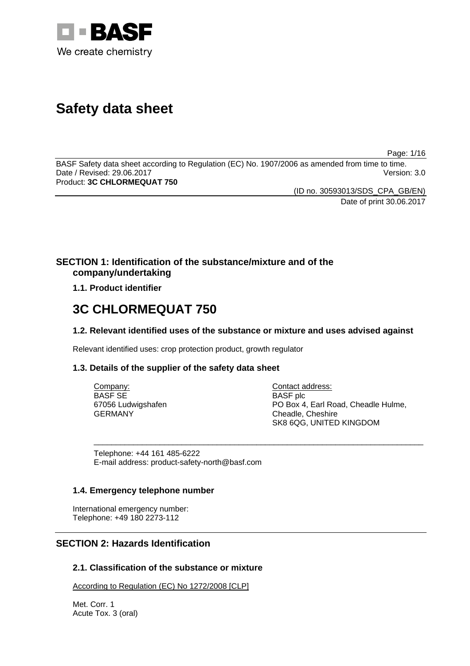

# **Safety data sheet**

Page: 1/16

BASF Safety data sheet according to Regulation (EC) No. 1907/2006 as amended from time to time. Date / Revised: 29.06.2017 Version: 3.0 Product: **3C CHLORMEQUAT 750** 

(ID no. 30593013/SDS\_CPA\_GB/EN)

Date of print 30.06.2017

# **SECTION 1: Identification of the substance/mixture and of the company/undertaking**

# **1.1. Product identifier**

# **3C CHLORMEQUAT 750**

# **1.2. Relevant identified uses of the substance or mixture and uses advised against**

Relevant identified uses: crop protection product, growth regulator

# **1.3. Details of the supplier of the safety data sheet**

| Company:           | Contact address:                    |
|--------------------|-------------------------------------|
| BASF SE            | <b>BASF</b> plc                     |
| 67056 Ludwigshafen | PO Box 4, Earl Road, Cheadle Hulme, |
| GERMANY            | Cheadle, Cheshire                   |
|                    | SK8 6QG, UNITED KINGDOM             |

\_\_\_\_\_\_\_\_\_\_\_\_\_\_\_\_\_\_\_\_\_\_\_\_\_\_\_\_\_\_\_\_\_\_\_\_\_\_\_\_\_\_\_\_\_\_\_\_\_\_\_\_\_\_\_\_\_\_\_\_\_\_\_\_\_\_\_\_\_\_\_\_\_\_\_

Telephone: +44 161 485-6222 E-mail address: product-safety-north@basf.com

### **1.4. Emergency telephone number**

International emergency number: Telephone: +49 180 2273-112

# **SECTION 2: Hazards Identification**

# **2.1. Classification of the substance or mixture**

According to Regulation (EC) No 1272/2008 [CLP]

Met. Corr. 1 Acute Tox. 3 (oral)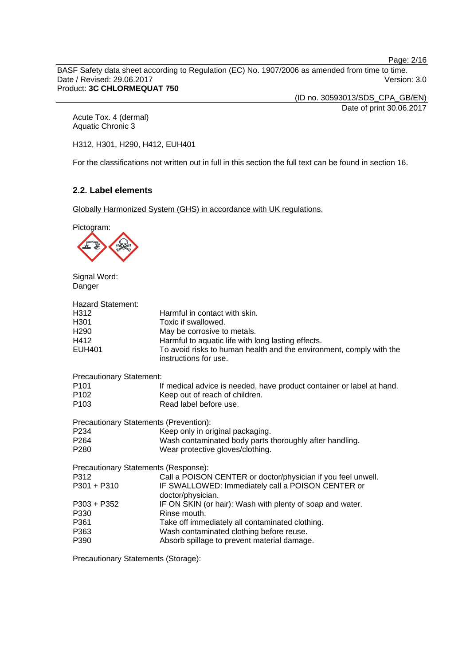Page: 2/16

BASF Safety data sheet according to Regulation (EC) No. 1907/2006 as amended from time to time. Date / Revised: 29.06.2017 Version: 3.0 Product: **3C CHLORMEQUAT 750** 

(ID no. 30593013/SDS\_CPA\_GB/EN)

Date of print 30.06.2017

Acute Tox. 4 (dermal) Aquatic Chronic 3

H312, H301, H290, H412, EUH401

For the classifications not written out in full in this section the full text can be found in section 16.

# **2.2. Label elements**

Globally Harmonized System (GHS) in accordance with UK regulations.



Signal Word: Danger

| Hazard Statement:<br>H312<br>H301<br>H290<br>H412<br>EUH401 | Harmful in contact with skin.<br>Toxic if swallowed.<br>May be corrosive to metals.<br>Harmful to aquatic life with long lasting effects.<br>To avoid risks to human health and the environment, comply with the<br>instructions for use. |
|-------------------------------------------------------------|-------------------------------------------------------------------------------------------------------------------------------------------------------------------------------------------------------------------------------------------|
| <b>Precautionary Statement:</b>                             |                                                                                                                                                                                                                                           |
| P101                                                        | If medical advice is needed, have product container or label at hand.                                                                                                                                                                     |
| P102                                                        | Keep out of reach of children.                                                                                                                                                                                                            |
| P103                                                        | Read label before use.                                                                                                                                                                                                                    |
| <b>Precautionary Statements (Prevention):</b>               |                                                                                                                                                                                                                                           |
| P234                                                        | Keep only in original packaging.                                                                                                                                                                                                          |
| P264                                                        | Wash contaminated body parts thoroughly after handling.                                                                                                                                                                                   |
| P280                                                        | Wear protective gloves/clothing.                                                                                                                                                                                                          |
| Precautionary Statements (Response):                        |                                                                                                                                                                                                                                           |
| P312                                                        | Call a POISON CENTER or doctor/physician if you feel unwell.                                                                                                                                                                              |
| P301 + P310                                                 | IF SWALLOWED: Immediately call a POISON CENTER or<br>doctor/physician.                                                                                                                                                                    |
| P303 + P352                                                 | IF ON SKIN (or hair): Wash with plenty of soap and water.                                                                                                                                                                                 |
| P330                                                        | Rinse mouth.                                                                                                                                                                                                                              |
| P361                                                        | Take off immediately all contaminated clothing.                                                                                                                                                                                           |
| P363                                                        | Wash contaminated clothing before reuse.                                                                                                                                                                                                  |
| P390                                                        | Absorb spillage to prevent material damage.                                                                                                                                                                                               |
|                                                             |                                                                                                                                                                                                                                           |

Precautionary Statements (Storage):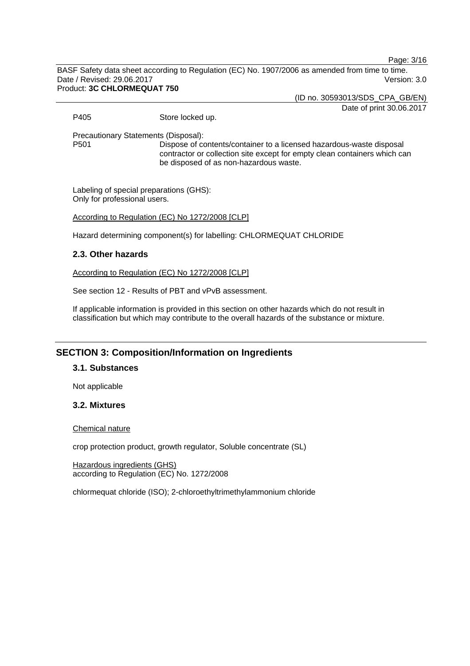Page: 3/16

BASF Safety data sheet according to Regulation (EC) No. 1907/2006 as amended from time to time. Date / Revised: 29.06.2017 Version: 3.0 Product: **3C CHLORMEQUAT 750** 

(ID no. 30593013/SDS\_CPA\_GB/EN)

Date of print 30.06.2017

P405 Store locked up.

Precautionary Statements (Disposal):

P501 Dispose of contents/container to a licensed hazardous-waste disposal contractor or collection site except for empty clean containers which can be disposed of as non-hazardous waste.

Labeling of special preparations (GHS): Only for professional users.

According to Regulation (EC) No 1272/2008 [CLP]

Hazard determining component(s) for labelling: CHLORMEQUAT CHLORIDE

### **2.3. Other hazards**

According to Regulation (EC) No 1272/2008 [CLP]

See section 12 - Results of PBT and vPvB assessment.

If applicable information is provided in this section on other hazards which do not result in classification but which may contribute to the overall hazards of the substance or mixture.

# **SECTION 3: Composition/Information on Ingredients**

### **3.1. Substances**

Not applicable

### **3.2. Mixtures**

#### Chemical nature

crop protection product, growth regulator, Soluble concentrate (SL)

Hazardous ingredients (GHS) according to Regulation (EC) No. 1272/2008

chlormequat chloride (ISO); 2-chloroethyltrimethylammonium chloride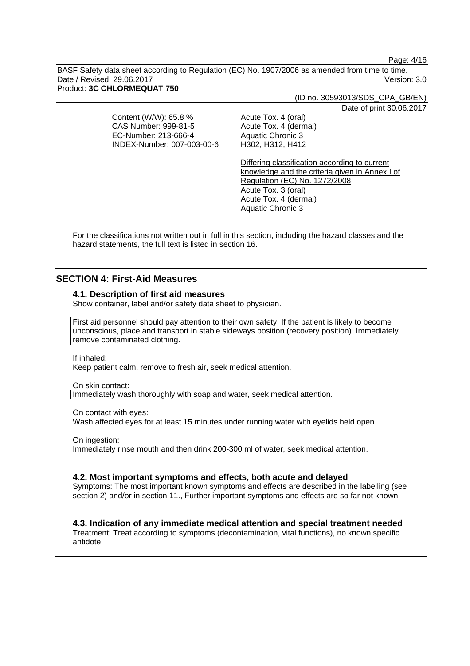Page: 4/16

BASF Safety data sheet according to Regulation (EC) No. 1907/2006 as amended from time to time. Date / Revised: 29.06.2017 Version: 3.0 Product: **3C CHLORMEQUAT 750** 

(ID no. 30593013/SDS\_CPA\_GB/EN)

Date of print 30.06.2017

|                            | $54.6$ or print co.co. $\epsilon$             |
|----------------------------|-----------------------------------------------|
| Content (W/W): 65.8 %      | Acute Tox. 4 (oral)                           |
| CAS Number: 999-81-5       | Acute Tox. 4 (dermal)                         |
| EC-Number: 213-666-4       | <b>Aquatic Chronic 3</b>                      |
| INDEX-Number: 007-003-00-6 | H302, H312, H412                              |
|                            |                                               |
|                            | Differing classification according to current |

knowledge and the criteria given in Annex I of Regulation (EC) No. 1272/2008 Acute Tox. 3 (oral) Acute Tox. 4 (dermal) Aquatic Chronic 3

For the classifications not written out in full in this section, including the hazard classes and the hazard statements, the full text is listed in section 16.

# **SECTION 4: First-Aid Measures**

### **4.1. Description of first aid measures**

Show container, label and/or safety data sheet to physician.

First aid personnel should pay attention to their own safety. If the patient is likely to become unconscious, place and transport in stable sideways position (recovery position). Immediately remove contaminated clothing.

If inhaled:

Keep patient calm, remove to fresh air, seek medical attention.

On skin contact: Immediately wash thoroughly with soap and water, seek medical attention.

On contact with eyes: Wash affected eyes for at least 15 minutes under running water with eyelids held open.

On ingestion: Immediately rinse mouth and then drink 200-300 ml of water, seek medical attention.

### **4.2. Most important symptoms and effects, both acute and delayed**

Symptoms: The most important known symptoms and effects are described in the labelling (see section 2) and/or in section 11., Further important symptoms and effects are so far not known.

### **4.3. Indication of any immediate medical attention and special treatment needed**

Treatment: Treat according to symptoms (decontamination, vital functions), no known specific antidote.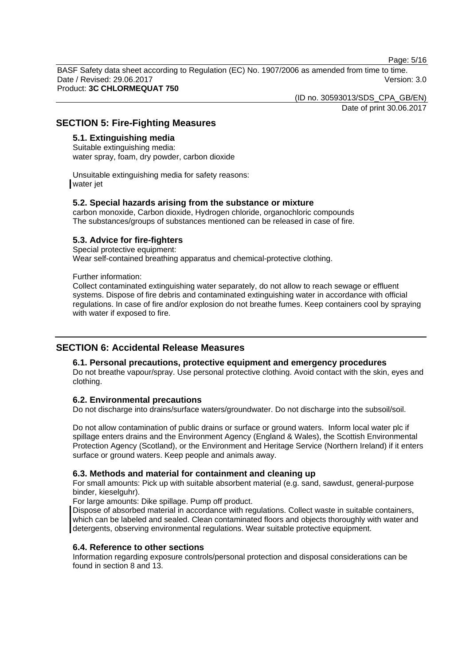Page: 5/16

BASF Safety data sheet according to Regulation (EC) No. 1907/2006 as amended from time to time. Date / Revised: 29.06.2017 Version: 3.0 Product: **3C CHLORMEQUAT 750** 

(ID no. 30593013/SDS\_CPA\_GB/EN)

Date of print 30.06.2017

# **SECTION 5: Fire-Fighting Measures**

### **5.1. Extinguishing media**

Suitable extinguishing media: water spray, foam, dry powder, carbon dioxide

Unsuitable extinguishing media for safety reasons: water jet

### **5.2. Special hazards arising from the substance or mixture**

carbon monoxide, Carbon dioxide, Hydrogen chloride, organochloric compounds The substances/groups of substances mentioned can be released in case of fire.

# **5.3. Advice for fire-fighters**

Special protective equipment: Wear self-contained breathing apparatus and chemical-protective clothing.

Further information:

Collect contaminated extinguishing water separately, do not allow to reach sewage or effluent systems. Dispose of fire debris and contaminated extinguishing water in accordance with official regulations. In case of fire and/or explosion do not breathe fumes. Keep containers cool by spraying with water if exposed to fire.

### **SECTION 6: Accidental Release Measures**

### **6.1. Personal precautions, protective equipment and emergency procedures**

Do not breathe vapour/spray. Use personal protective clothing. Avoid contact with the skin, eyes and clothing.

### **6.2. Environmental precautions**

Do not discharge into drains/surface waters/groundwater. Do not discharge into the subsoil/soil.

Do not allow contamination of public drains or surface or ground waters. Inform local water plc if spillage enters drains and the Environment Agency (England & Wales), the Scottish Environmental Protection Agency (Scotland), or the Environment and Heritage Service (Northern Ireland) if it enters surface or ground waters. Keep people and animals away.

### **6.3. Methods and material for containment and cleaning up**

For small amounts: Pick up with suitable absorbent material (e.g. sand, sawdust, general-purpose binder, kieselguhr).

For large amounts: Dike spillage. Pump off product.

Dispose of absorbed material in accordance with regulations. Collect waste in suitable containers, which can be labeled and sealed. Clean contaminated floors and objects thoroughly with water and detergents, observing environmental regulations. Wear suitable protective equipment.

### **6.4. Reference to other sections**

Information regarding exposure controls/personal protection and disposal considerations can be found in section 8 and 13.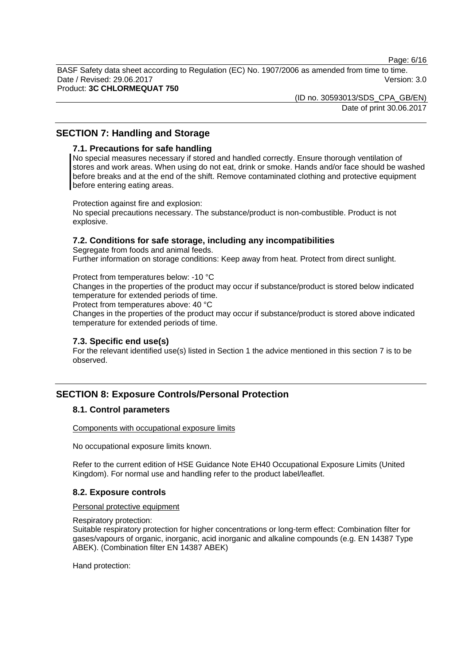Page: 6/16

BASF Safety data sheet according to Regulation (EC) No. 1907/2006 as amended from time to time. Date / Revised: 29.06.2017 Version: 3.0

Product: **3C CHLORMEQUAT 750** 

(ID no. 30593013/SDS\_CPA\_GB/EN) Date of print 30.06.2017

# **SECTION 7: Handling and Storage**

### **7.1. Precautions for safe handling**

No special measures necessary if stored and handled correctly. Ensure thorough ventilation of stores and work areas. When using do not eat, drink or smoke. Hands and/or face should be washed before breaks and at the end of the shift. Remove contaminated clothing and protective equipment before entering eating areas.

Protection against fire and explosion: No special precautions necessary. The substance/product is non-combustible. Product is not explosive.

# **7.2. Conditions for safe storage, including any incompatibilities**

Segregate from foods and animal feeds. Further information on storage conditions: Keep away from heat. Protect from direct sunlight.

Protect from temperatures below: -10 °C

Changes in the properties of the product may occur if substance/product is stored below indicated temperature for extended periods of time.

Protect from temperatures above: 40 °C

Changes in the properties of the product may occur if substance/product is stored above indicated temperature for extended periods of time.

### **7.3. Specific end use(s)**

For the relevant identified use(s) listed in Section 1 the advice mentioned in this section 7 is to be observed.

# **SECTION 8: Exposure Controls/Personal Protection**

### **8.1. Control parameters**

Components with occupational exposure limits

No occupational exposure limits known.

Refer to the current edition of HSE Guidance Note EH40 Occupational Exposure Limits (United Kingdom). For normal use and handling refer to the product label/leaflet.

### **8.2. Exposure controls**

Personal protective equipment

Respiratory protection:

Suitable respiratory protection for higher concentrations or long-term effect: Combination filter for gases/vapours of organic, inorganic, acid inorganic and alkaline compounds (e.g. EN 14387 Type ABEK). (Combination filter EN 14387 ABEK)

Hand protection: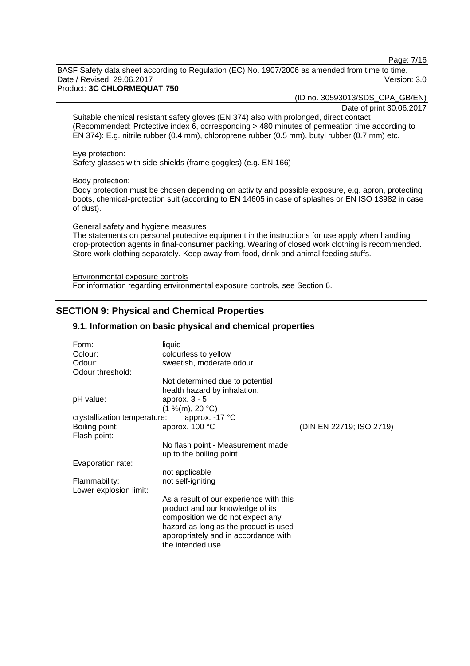Page: 7/16

BASF Safety data sheet according to Regulation (EC) No. 1907/2006 as amended from time to time. Date / Revised: 29.06.2017 Version: 3.0 Product: **3C CHLORMEQUAT 750** 

(ID no. 30593013/SDS\_CPA\_GB/EN)

Date of print 30.06.2017

Suitable chemical resistant safety gloves (EN 374) also with prolonged, direct contact (Recommended: Protective index 6, corresponding > 480 minutes of permeation time according to EN 374): E.g. nitrile rubber (0.4 mm), chloroprene rubber (0.5 mm), butyl rubber (0.7 mm) etc.

#### Eye protection:

Safety glasses with side-shields (frame goggles) (e.g. EN 166)

#### Body protection:

Body protection must be chosen depending on activity and possible exposure, e.g. apron, protecting boots, chemical-protection suit (according to EN 14605 in case of splashes or EN ISO 13982 in case of dust).

#### General safety and hygiene measures

The statements on personal protective equipment in the instructions for use apply when handling crop-protection agents in final-consumer packing. Wearing of closed work clothing is recommended. Store work clothing separately. Keep away from food, drink and animal feeding stuffs.

Environmental exposure controls For information regarding environmental exposure controls, see Section 6.

# **SECTION 9: Physical and Chemical Properties**

### **9.1. Information on basic physical and chemical properties**

| Form:                        | liquid                                  |                          |
|------------------------------|-----------------------------------------|--------------------------|
| Colour:                      | colourless to yellow                    |                          |
| Odour:                       | sweetish, moderate odour                |                          |
| Odour threshold:             |                                         |                          |
|                              | Not determined due to potential         |                          |
|                              | health hazard by inhalation.            |                          |
| pH value:                    | approx. $3 - 5$                         |                          |
|                              | (1 %(m), 20 °C)                         |                          |
| crystallization temperature: | approx. -17 °C                          |                          |
| Boiling point:               | approx. 100 °C                          | (DIN EN 22719; ISO 2719) |
| Flash point:                 |                                         |                          |
|                              | No flash point - Measurement made       |                          |
|                              | up to the boiling point.                |                          |
| Evaporation rate:            |                                         |                          |
|                              | not applicable                          |                          |
| Flammability:                | not self-igniting                       |                          |
| Lower explosion limit:       |                                         |                          |
|                              | As a result of our experience with this |                          |
|                              | product and our knowledge of its        |                          |
|                              | composition we do not expect any        |                          |
|                              | hazard as long as the product is used   |                          |
|                              | appropriately and in accordance with    |                          |
|                              | the intended use.                       |                          |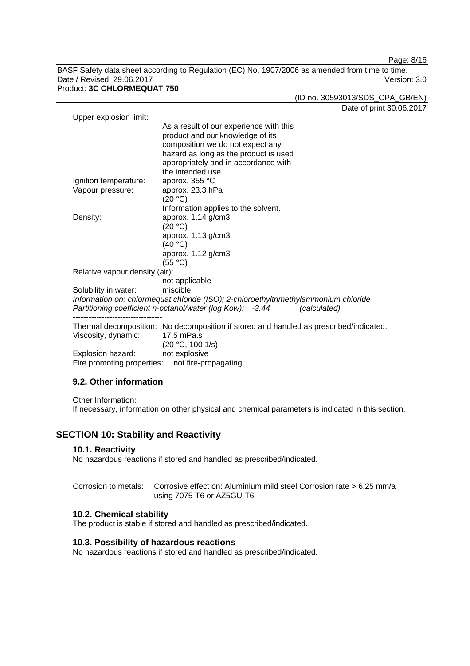Page: 8/16

BASF Safety data sheet according to Regulation (EC) No. 1907/2006 as amended from time to time. Date / Revised: 29.06.2017 Version: 3.0 Product: **3C CHLORMEQUAT 750** 

(ID no. 30593013/SDS\_CPA\_GB/EN)

Date of print 30.06.2017

| Upper explosion limit: |
|------------------------|
|------------------------|

| OPPEL CAPIOSION INTIIL.        |                                                                                        |
|--------------------------------|----------------------------------------------------------------------------------------|
|                                | As a result of our experience with this<br>product and our knowledge of its            |
|                                |                                                                                        |
|                                | composition we do not expect any                                                       |
|                                | hazard as long as the product is used                                                  |
|                                | appropriately and in accordance with                                                   |
|                                | the intended use.                                                                      |
| Ignition temperature:          | approx. 355 °C                                                                         |
| Vapour pressure:               | approx. 23.3 hPa                                                                       |
|                                | (20 °C)                                                                                |
|                                | Information applies to the solvent.                                                    |
| Density:                       | approx. $1.14$ g/cm3                                                                   |
|                                | (20 °C)                                                                                |
|                                | approx. 1.13 g/cm3                                                                     |
|                                | (40 °C)                                                                                |
|                                | approx. 1.12 g/cm3                                                                     |
|                                | (55 °C)                                                                                |
| Relative vapour density (air): |                                                                                        |
|                                | not applicable                                                                         |
| Solubility in water:           | miscible                                                                               |
|                                | Information on: chlormequat chloride (ISO); 2-chloroethyltrimethylammonium chloride    |
|                                | Partitioning coefficient n-octanol/water (log Kow): -3.44<br>(calculated)              |
|                                |                                                                                        |
|                                | Thermal decomposition: No decomposition if stored and handled as prescribed/indicated. |
| Viscosity, dynamic:            | 17.5 mPa.s                                                                             |
|                                | (20 °C, 100 1/s)                                                                       |
|                                |                                                                                        |

Explosion hazard: not explosive<br>Fire promoting properties: not fire-propagating Fire promoting properties:

# **9.2. Other information**

Other Information: If necessary, information on other physical and chemical parameters is indicated in this section.

# **SECTION 10: Stability and Reactivity**

# **10.1. Reactivity**

No hazardous reactions if stored and handled as prescribed/indicated.

| Corrosion to metals: Corrosive effect on: Aluminium mild steel Corrosion rate $> 6.25$ mm/a |
|---------------------------------------------------------------------------------------------|
| using 7075-T6 or AZ5GU-T6                                                                   |

### **10.2. Chemical stability**

The product is stable if stored and handled as prescribed/indicated.

# **10.3. Possibility of hazardous reactions**

No hazardous reactions if stored and handled as prescribed/indicated.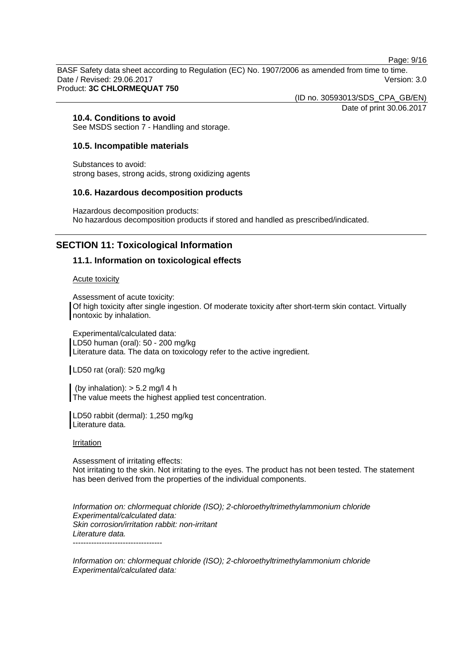Page: 9/16

BASF Safety data sheet according to Regulation (EC) No. 1907/2006 as amended from time to time. Date / Revised: 29.06.2017 Version: 3.0 Product: **3C CHLORMEQUAT 750** 

(ID no. 30593013/SDS\_CPA\_GB/EN)

Date of print 30.06.2017

### **10.4. Conditions to avoid**

See MSDS section 7 - Handling and storage.

### **10.5. Incompatible materials**

Substances to avoid: strong bases, strong acids, strong oxidizing agents

### **10.6. Hazardous decomposition products**

Hazardous decomposition products: No hazardous decomposition products if stored and handled as prescribed/indicated.

# **SECTION 11: Toxicological Information**

### **11.1. Information on toxicological effects**

Acute toxicity

Assessment of acute toxicity: Of high toxicity after single ingestion. Of moderate toxicity after short-term skin contact. Virtually nontoxic by inhalation.

Experimental/calculated data: LD50 human (oral): 50 - 200 mg/kg Literature data. The data on toxicology refer to the active ingredient.

LD50 rat (oral): 520 mg/kg

(by inhalation):  $> 5.2$  mg/l 4 h The value meets the highest applied test concentration.

LD50 rabbit (dermal): 1,250 mg/kg Literature data.

Irritation

Assessment of irritating effects: Not irritating to the skin. Not irritating to the eyes. The product has not been tested. The statement has been derived from the properties of the individual components.

*Information on: chlormequat chloride (ISO); 2-chloroethyltrimethylammonium chloride Experimental/calculated data: Skin corrosion/irritation rabbit: non-irritant Literature data.*  ----------------------------------

*Information on: chlormequat chloride (ISO); 2-chloroethyltrimethylammonium chloride Experimental/calculated data:*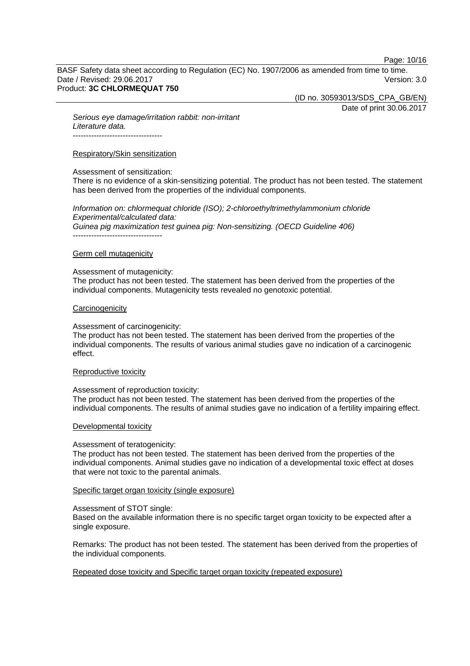Page: 10/16

BASF Safety data sheet according to Regulation (EC) No. 1907/2006 as amended from time to time. Date / Revised: 29.06.2017 Version: 3.0 Product: **3C CHLORMEQUAT 750** 

(ID no. 30593013/SDS\_CPA\_GB/EN)

Date of print 30.06.2017

*Serious eye damage/irritation rabbit: non-irritant Literature data.*  ----------------------------------

#### Respiratory/Skin sensitization

#### Assessment of sensitization:

There is no evidence of a skin-sensitizing potential. The product has not been tested. The statement has been derived from the properties of the individual components.

*Information on: chlormequat chloride (ISO); 2-chloroethyltrimethylammonium chloride Experimental/calculated data: Guinea pig maximization test guinea pig: Non-sensitizing. (OECD Guideline 406)* ----------------------------------

### Germ cell mutagenicity

Assessment of mutagenicity:

The product has not been tested. The statement has been derived from the properties of the individual components. Mutagenicity tests revealed no genotoxic potential.

#### **Carcinogenicity**

Assessment of carcinogenicity:

The product has not been tested. The statement has been derived from the properties of the individual components. The results of various animal studies gave no indication of a carcinogenic effect.

#### Reproductive toxicity

Assessment of reproduction toxicity:

The product has not been tested. The statement has been derived from the properties of the individual components. The results of animal studies gave no indication of a fertility impairing effect.

#### Developmental toxicity

#### Assessment of teratogenicity:

The product has not been tested. The statement has been derived from the properties of the individual components. Animal studies gave no indication of a developmental toxic effect at doses that were not toxic to the parental animals.

### Specific target organ toxicity (single exposure)

#### Assessment of STOT single:

Based on the available information there is no specific target organ toxicity to be expected after a single exposure.

Remarks: The product has not been tested. The statement has been derived from the properties of the individual components.

### Repeated dose toxicity and Specific target organ toxicity (repeated exposure)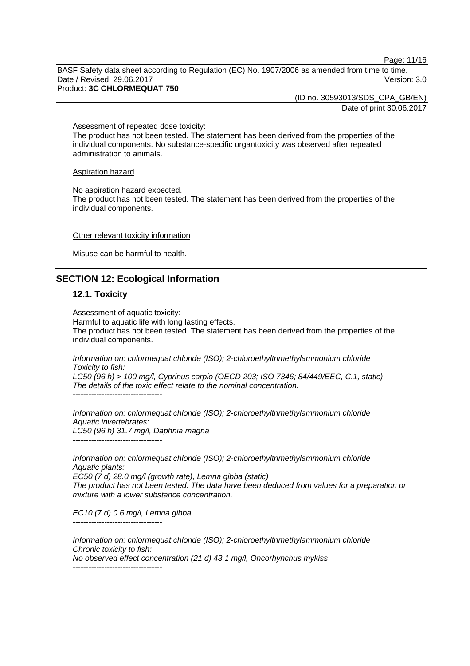Page: 11/16

BASF Safety data sheet according to Regulation (EC) No. 1907/2006 as amended from time to time. Date / Revised: 29.06.2017 **Version: 3.0** Product: **3C CHLORMEQUAT 750** 

(ID no. 30593013/SDS\_CPA\_GB/EN)

Date of print 30.06.2017

Assessment of repeated dose toxicity:

The product has not been tested. The statement has been derived from the properties of the individual components. No substance-specific organtoxicity was observed after repeated administration to animals.

Aspiration hazard

No aspiration hazard expected.

The product has not been tested. The statement has been derived from the properties of the individual components.

Other relevant toxicity information

Misuse can be harmful to health.

# **SECTION 12: Ecological Information**

### **12.1. Toxicity**

----------------------------------

Assessment of aquatic toxicity: Harmful to aquatic life with long lasting effects. The product has not been tested. The statement has been derived from the properties of the individual components.

*Information on: chlormequat chloride (ISO); 2-chloroethyltrimethylammonium chloride Toxicity to fish: LC50 (96 h) > 100 mg/l, Cyprinus carpio (OECD 203; ISO 7346; 84/449/EEC, C.1, static) The details of the toxic effect relate to the nominal concentration.* 

*Information on: chlormequat chloride (ISO); 2-chloroethyltrimethylammonium chloride Aquatic invertebrates: LC50 (96 h) 31.7 mg/l, Daphnia magna*  ----------------------------------

*Information on: chlormequat chloride (ISO); 2-chloroethyltrimethylammonium chloride Aquatic plants: EC50 (7 d) 28.0 mg/l (growth rate), Lemna gibba (static) The product has not been tested. The data have been deduced from values for a preparation or mixture with a lower substance concentration.* 

*EC10 (7 d) 0.6 mg/l, Lemna gibba* 

----------------------------------

*Information on: chlormequat chloride (ISO); 2-chloroethyltrimethylammonium chloride Chronic toxicity to fish: No observed effect concentration (21 d) 43.1 mg/l, Oncorhynchus mykiss*  ----------------------------------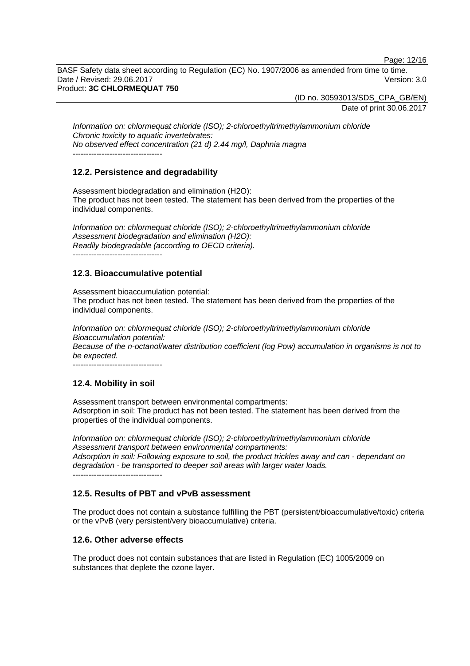Page: 12/16

BASF Safety data sheet according to Regulation (EC) No. 1907/2006 as amended from time to time. Date / Revised: 29.06.2017 **Version: 3.0** Product: **3C CHLORMEQUAT 750** 

(ID no. 30593013/SDS\_CPA\_GB/EN)

Date of print 30.06.2017

*Information on: chlormequat chloride (ISO); 2-chloroethyltrimethylammonium chloride Chronic toxicity to aquatic invertebrates: No observed effect concentration (21 d) 2.44 mg/l, Daphnia magna*  ----------------------------------

# **12.2. Persistence and degradability**

Assessment biodegradation and elimination (H2O): The product has not been tested. The statement has been derived from the properties of the individual components.

*Information on: chlormequat chloride (ISO); 2-chloroethyltrimethylammonium chloride Assessment biodegradation and elimination (H2O): Readily biodegradable (according to OECD criteria).*  ----------------------------------

# **12.3. Bioaccumulative potential**

Assessment bioaccumulation potential: The product has not been tested. The statement has been derived from the properties of the individual components.

*Information on: chlormequat chloride (ISO); 2-chloroethyltrimethylammonium chloride Bioaccumulation potential: Because of the n-octanol/water distribution coefficient (log Pow) accumulation in organisms is not to be expected.*  ----------------------------------

# **12.4. Mobility in soil**

Assessment transport between environmental compartments: Adsorption in soil: The product has not been tested. The statement has been derived from the properties of the individual components.

*Information on: chlormequat chloride (ISO); 2-chloroethyltrimethylammonium chloride Assessment transport between environmental compartments: Adsorption in soil: Following exposure to soil, the product trickles away and can - dependant on degradation - be transported to deeper soil areas with larger water loads.* ----------------------------------

# **12.5. Results of PBT and vPvB assessment**

The product does not contain a substance fulfilling the PBT (persistent/bioaccumulative/toxic) criteria or the vPvB (very persistent/very bioaccumulative) criteria.

### **12.6. Other adverse effects**

The product does not contain substances that are listed in Regulation (EC) 1005/2009 on substances that deplete the ozone layer.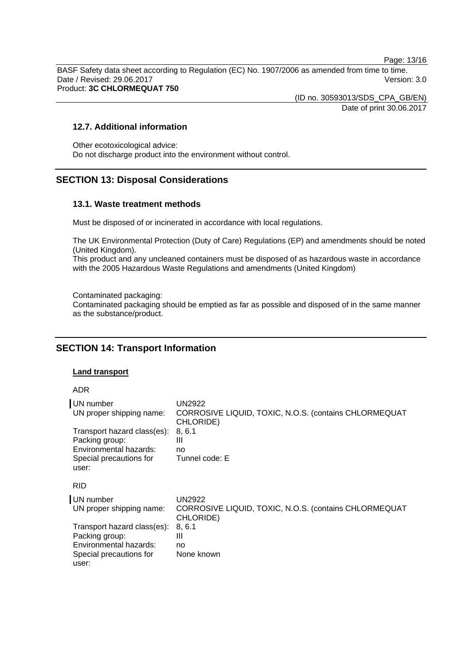Page: 13/16

BASF Safety data sheet according to Regulation (EC) No. 1907/2006 as amended from time to time. Date / Revised: 29.06.2017 Version: 3.0 Product: **3C CHLORMEQUAT 750** 

(ID no. 30593013/SDS\_CPA\_GB/EN)

Date of print 30.06.2017

### **12.7. Additional information**

Other ecotoxicological advice: Do not discharge product into the environment without control.

# **SECTION 13: Disposal Considerations**

### **13.1. Waste treatment methods**

Must be disposed of or incinerated in accordance with local regulations.

The UK Environmental Protection (Duty of Care) Regulations (EP) and amendments should be noted (United Kingdom).

This product and any uncleaned containers must be disposed of as hazardous waste in accordance with the 2005 Hazardous Waste Regulations and amendments (United Kingdom)

Contaminated packaging:

Contaminated packaging should be emptied as far as possible and disposed of in the same manner as the substance/product.

# **SECTION 14: Transport Information**

### **Land transport**

ADR

| UN number<br>UN proper shipping name:    | UN2922<br>CORROSIVE LIQUID, TOXIC, N.O.S. (contains CHLORMEQUAT<br>CHLORIDE) |
|------------------------------------------|------------------------------------------------------------------------------|
| Transport hazard class(es):              | 8, 6.1<br>Ш                                                                  |
| Packing group:<br>Environmental hazards: | no                                                                           |
| Special precautions for<br>user:         | Tunnel code: E                                                               |
| RID                                      |                                                                              |
| UN number<br>UN proper shipping name:    | UN2922<br>CORROSIVE LIQUID, TOXIC, N.O.S. (contains CHLORMEQUAT<br>CHLORIDE) |
| Transport hazard class(es):              | 8, 6.1                                                                       |
| Packing group:                           | Ш                                                                            |
| Environmental hazards:                   | no                                                                           |
| Special precautions for<br>user:         | None known                                                                   |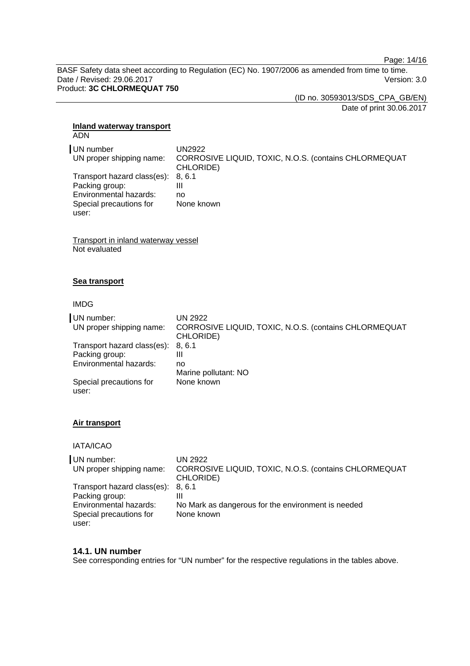Page: 14/16

BASF Safety data sheet according to Regulation (EC) No. 1907/2006 as amended from time to time. Date / Revised: 29.06.2017 Version: 3.0 Product: **3C CHLORMEQUAT 750** 

(ID no. 30593013/SDS\_CPA\_GB/EN)

Date of print 30.06.2017

#### **Inland waterway transport**  ADN

| UN number                          | UN2922                                                |
|------------------------------------|-------------------------------------------------------|
| UN proper shipping name:           | CORROSIVE LIQUID, TOXIC, N.O.S. (contains CHLORMEQUAT |
|                                    | CHLORIDE)                                             |
| Transport hazard class(es): 8, 6.1 |                                                       |
| Packing group:                     | Ш                                                     |
| Environmental hazards:             | no                                                    |
| Special precautions for            | None known                                            |
| user:                              |                                                       |

Transport in inland waterway vessel Not evaluated

### **Sea transport**

### IMDG

| UN number:<br>UN proper shipping name: | UN 2922<br>CORROSIVE LIQUID, TOXIC, N.O.S. (contains CHLORMEQUAT<br>CHLORIDE) |
|----------------------------------------|-------------------------------------------------------------------------------|
| Transport hazard class(es): 8, 6.1     |                                                                               |
| Packing group:                         | Ш                                                                             |
| Environmental hazards:                 | no                                                                            |
|                                        | Marine pollutant: NO                                                          |
| Special precautions for<br>user:       | None known                                                                    |

### **Air transport**

IATA/ICAO

| UN number:<br>UN proper shipping name:                                                                      | UN 2922<br>CORROSIVE LIQUID, TOXIC, N.O.S. (contains CHLORMEQUAT<br>CHLORIDE)  |
|-------------------------------------------------------------------------------------------------------------|--------------------------------------------------------------------------------|
| Transport hazard class(es):<br>Packing group:<br>Environmental hazards:<br>Special precautions for<br>user: | 8.6.1<br>Ш<br>No Mark as dangerous for the environment is needed<br>None known |

### **14.1. UN number**

See corresponding entries for "UN number" for the respective regulations in the tables above.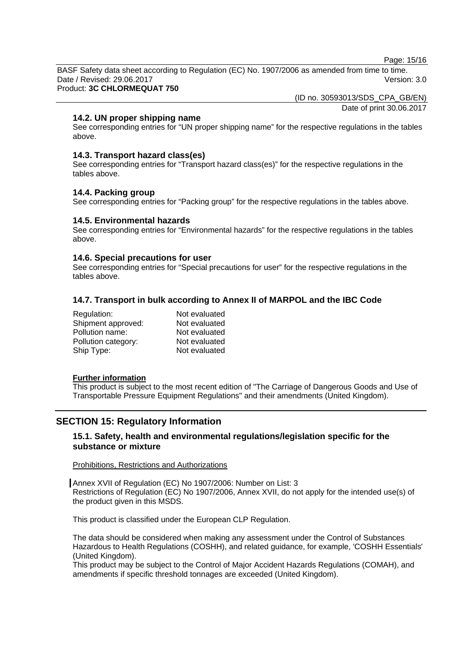Page: 15/16

BASF Safety data sheet according to Regulation (EC) No. 1907/2006 as amended from time to time. Date / Revised: 29.06.2017 Version: 3.0 Product: **3C CHLORMEQUAT 750** 

(ID no. 30593013/SDS\_CPA\_GB/EN)

Date of print 30.06.2017

## **14.2. UN proper shipping name**

See corresponding entries for "UN proper shipping name" for the respective regulations in the tables above.

### **14.3. Transport hazard class(es)**

See corresponding entries for "Transport hazard class(es)" for the respective regulations in the tables above.

### **14.4. Packing group**

See corresponding entries for "Packing group" for the respective regulations in the tables above.

### **14.5. Environmental hazards**

See corresponding entries for "Environmental hazards" for the respective regulations in the tables above.

### **14.6. Special precautions for user**

See corresponding entries for "Special precautions for user" for the respective regulations in the tables above.

### **14.7. Transport in bulk according to Annex II of MARPOL and the IBC Code**

| Regulation:         | Not evaluated |
|---------------------|---------------|
| Shipment approved:  | Not evaluated |
| Pollution name:     | Not evaluated |
| Pollution category: | Not evaluated |
| Ship Type:          | Not evaluated |

### **Further information**

This product is subject to the most recent edition of "The Carriage of Dangerous Goods and Use of Transportable Pressure Equipment Regulations" and their amendments (United Kingdom).

### **SECTION 15: Regulatory Information**

### **15.1. Safety, health and environmental regulations/legislation specific for the substance or mixture**

### Prohibitions, Restrictions and Authorizations

Annex XVII of Regulation (EC) No 1907/2006: Number on List: 3 Restrictions of Regulation (EC) No 1907/2006, Annex XVII, do not apply for the intended use(s) of the product given in this MSDS.

This product is classified under the European CLP Regulation.

The data should be considered when making any assessment under the Control of Substances Hazardous to Health Regulations (COSHH), and related guidance, for example, 'COSHH Essentials' (United Kingdom).

This product may be subject to the Control of Major Accident Hazards Regulations (COMAH), and amendments if specific threshold tonnages are exceeded (United Kingdom).